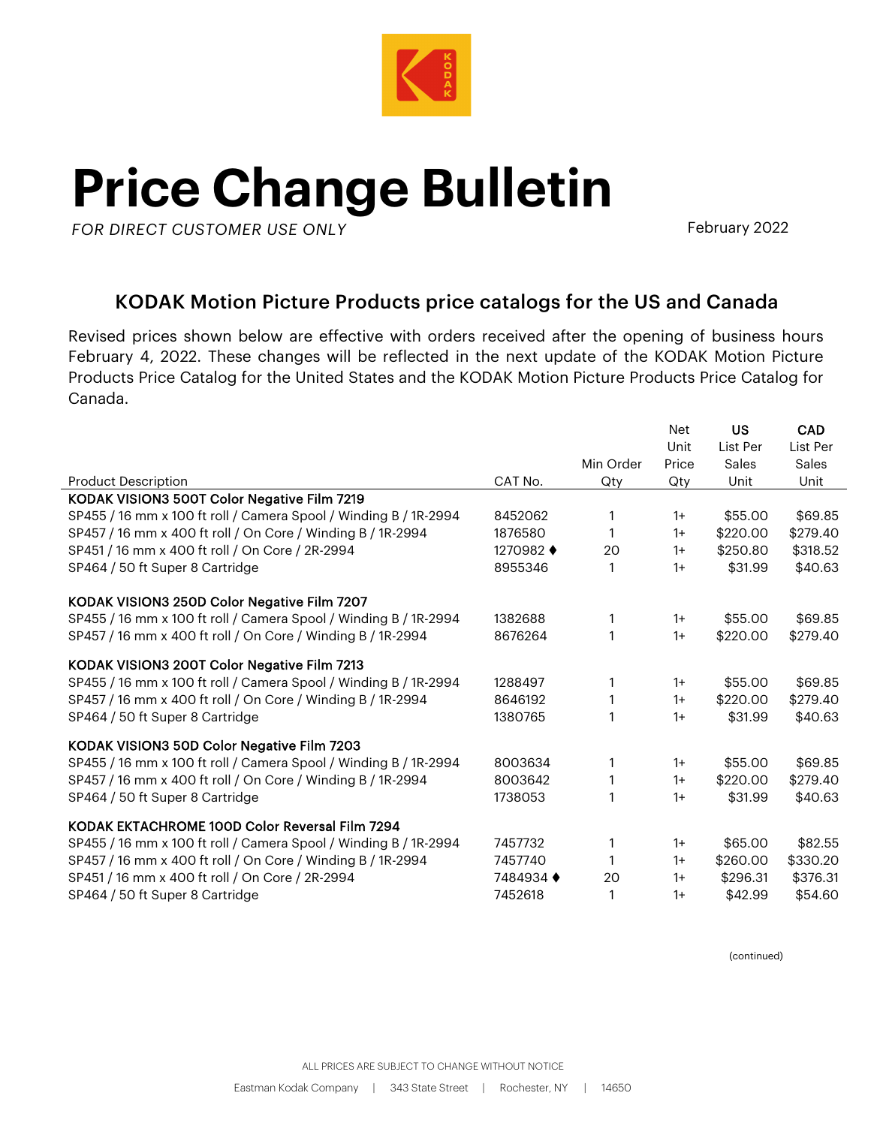

## **Price Change Bulletin**

**AK***FOR DIRECT CUSTOMER USE ONLY*

February 2022

## KODAK Motion Picture Products price catalogs for the US and Canada

Revised prices shown below are effective with orders received after the opening of business hours February 4, 2022. These changes will be reflected in the next update of the KODAK Motion Picture Products Price Catalog for the United States and the KODAK Motion Picture Products Price Catalog for Canada.

|                                                                  |           |           | Net<br>Unit | <b>US</b><br>List Per | <b>CAD</b><br>List Per |
|------------------------------------------------------------------|-----------|-----------|-------------|-----------------------|------------------------|
|                                                                  |           | Min Order | Price       | Sales                 | Sales                  |
| <b>Product Description</b>                                       | CAT No.   | Qty       | Qty         | Unit                  | Unit                   |
| KODAK VISION3 500T Color Negative Film 7219                      |           |           |             |                       |                        |
| SP455 / 16 mm x 100 ft roll / Camera Spool / Winding B / 1R-2994 | 8452062   | 1         | $1+$        | \$55.00               | \$69.85                |
| SP457 / 16 mm x 400 ft roll / On Core / Winding B / 1R-2994      | 1876580   | 1         | $1+$        | \$220.00              | \$279.40               |
| SP451 / 16 mm x 400 ft roll / On Core / 2R-2994                  | 1270982 ♦ | 20        | $1+$        | \$250.80              | \$318.52               |
| SP464 / 50 ft Super 8 Cartridge                                  | 8955346   | 1         | $1+$        | \$31.99               | \$40.63                |
| KODAK VISION3 250D Color Negative Film 7207                      |           |           |             |                       |                        |
| SP455 / 16 mm x 100 ft roll / Camera Spool / Winding B / 1R-2994 | 1382688   | 1         | $1+$        | \$55.00               | \$69.85                |
| SP457 / 16 mm x 400 ft roll / On Core / Winding B / 1R-2994      | 8676264   | 1         | $1+$        | \$220.00              | \$279.40               |
| KODAK VISION3 200T Color Negative Film 7213                      |           |           |             |                       |                        |
| SP455 / 16 mm x 100 ft roll / Camera Spool / Winding B / 1R-2994 | 1288497   | 1         | $1+$        | \$55.00               | \$69.85                |
| SP457 / 16 mm x 400 ft roll / On Core / Winding B / 1R-2994      | 8646192   | 1         | $1+$        | \$220.00              | \$279.40               |
| SP464 / 50 ft Super 8 Cartridge                                  | 1380765   | 1         | $1+$        | \$31.99               | \$40.63                |
| KODAK VISION3 50D Color Negative Film 7203                       |           |           |             |                       |                        |
| SP455 / 16 mm x 100 ft roll / Camera Spool / Winding B / 1R-2994 | 8003634   | 1         | $1+$        | \$55.00               | \$69.85                |
| SP457 / 16 mm x 400 ft roll / On Core / Winding B / 1R-2994      | 8003642   | 1         | $1+$        | \$220.00              | \$279.40               |
| SP464 / 50 ft Super 8 Cartridge                                  | 1738053   | 1         | $1+$        | \$31.99               | \$40.63                |
| KODAK EKTACHROME 100D Color Reversal Film 7294                   |           |           |             |                       |                        |
| SP455 / 16 mm x 100 ft roll / Camera Spool / Winding B / 1R-2994 | 7457732   | 1         | $1+$        | \$65.00               | \$82.55                |
| SP457 / 16 mm x 400 ft roll / On Core / Winding B / 1R-2994      | 7457740   | 1         | $1+$        | \$260.00              | \$330.20               |
| SP451 / 16 mm x 400 ft roll / On Core / 2R-2994                  | 7484934 ♦ | 20        | $1+$        | \$296.31              | \$376.31               |
| SP464 / 50 ft Super 8 Cartridge                                  | 7452618   | 1         | $1+$        | \$42.99               | \$54.60                |

(continued)